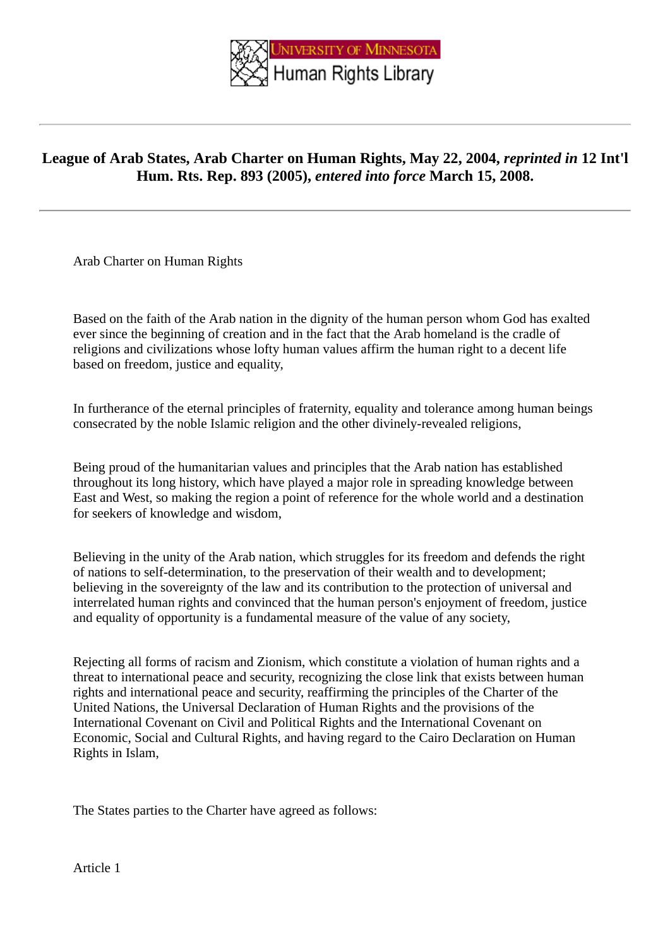

## **League of Arab States, Arab Charter on Human Rights, May 22, 2004,** *reprinted in* **12 Int'l Hum. Rts. Rep. 893 (2005),** *entered into force* **March 15, 2008.**

Arab Charter on Human Rights

Based on the faith of the Arab nation in the dignity of the human person whom God has exalted ever since the beginning of creation and in the fact that the Arab homeland is the cradle of religions and civilizations whose lofty human values affirm the human right to a decent life based on freedom, justice and equality,

In furtherance of the eternal principles of fraternity, equality and tolerance among human beings consecrated by the noble Islamic religion and the other divinely-revealed religions,

Being proud of the humanitarian values and principles that the Arab nation has established throughout its long history, which have played a major role in spreading knowledge between East and West, so making the region a point of reference for the whole world and a destination for seekers of knowledge and wisdom,

Believing in the unity of the Arab nation, which struggles for its freedom and defends the right of nations to self-determination, to the preservation of their wealth and to development; believing in the sovereignty of the law and its contribution to the protection of universal and interrelated human rights and convinced that the human person's enjoyment of freedom, justice and equality of opportunity is a fundamental measure of the value of any society,

Rejecting all forms of racism and Zionism, which constitute a violation of human rights and a threat to international peace and security, recognizing the close link that exists between human rights and international peace and security, reaffirming the principles of the Charter of the United Nations, the Universal Declaration of Human Rights and the provisions of the International Covenant on Civil and Political Rights and the International Covenant on Economic, Social and Cultural Rights, and having regard to the Cairo Declaration on Human Rights in Islam,

The States parties to the Charter have agreed as follows: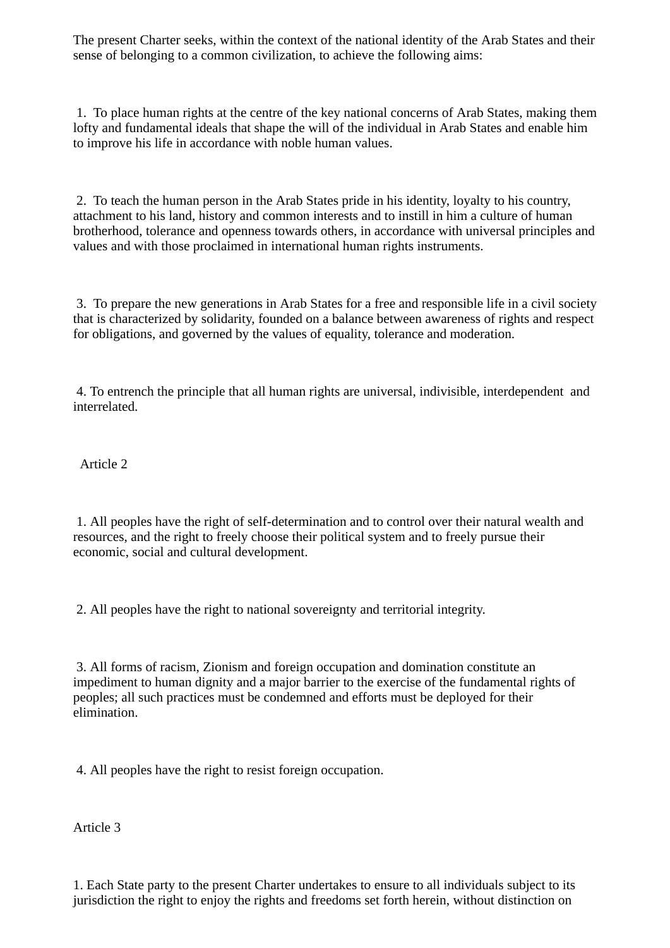The present Charter seeks, within the context of the national identity of the Arab States and their sense of belonging to a common civilization, to achieve the following aims:

 1. To place human rights at the centre of the key national concerns of Arab States, making them lofty and fundamental ideals that shape the will of the individual in Arab States and enable him to improve his life in accordance with noble human values.

 2. To teach the human person in the Arab States pride in his identity, loyalty to his country, attachment to his land, history and common interests and to instill in him a culture of human brotherhood, tolerance and openness towards others, in accordance with universal principles and values and with those proclaimed in international human rights instruments.

 3. To prepare the new generations in Arab States for a free and responsible life in a civil society that is characterized by solidarity, founded on a balance between awareness of rights and respect for obligations, and governed by the values of equality, tolerance and moderation.

 4. To entrench the principle that all human rights are universal, indivisible, interdependent and interrelated.

Article 2

 1. All peoples have the right of self-determination and to control over their natural wealth and resources, and the right to freely choose their political system and to freely pursue their economic, social and cultural development.

2. All peoples have the right to national sovereignty and territorial integrity.

 3. All forms of racism, Zionism and foreign occupation and domination constitute an impediment to human dignity and a major barrier to the exercise of the fundamental rights of peoples; all such practices must be condemned and efforts must be deployed for their elimination.

4. All peoples have the right to resist foreign occupation.

Article 3

1. Each State party to the present Charter undertakes to ensure to all individuals subject to its jurisdiction the right to enjoy the rights and freedoms set forth herein, without distinction on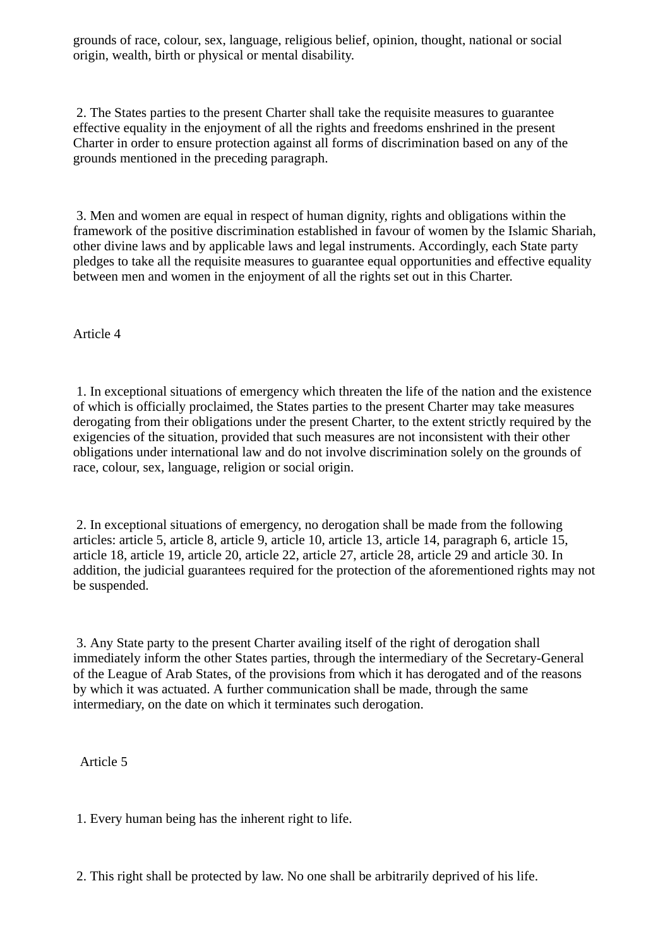grounds of race, colour, sex, language, religious belief, opinion, thought, national or social origin, wealth, birth or physical or mental disability.

 2. The States parties to the present Charter shall take the requisite measures to guarantee effective equality in the enjoyment of all the rights and freedoms enshrined in the present Charter in order to ensure protection against all forms of discrimination based on any of the grounds mentioned in the preceding paragraph.

 3. Men and women are equal in respect of human dignity, rights and obligations within the framework of the positive discrimination established in favour of women by the Islamic Shariah, other divine laws and by applicable laws and legal instruments. Accordingly, each State party pledges to take all the requisite measures to guarantee equal opportunities and effective equality between men and women in the enjoyment of all the rights set out in this Charter.

Article 4

 1. In exceptional situations of emergency which threaten the life of the nation and the existence of which is officially proclaimed, the States parties to the present Charter may take measures derogating from their obligations under the present Charter, to the extent strictly required by the exigencies of the situation, provided that such measures are not inconsistent with their other obligations under international law and do not involve discrimination solely on the grounds of race, colour, sex, language, religion or social origin.

 2. In exceptional situations of emergency, no derogation shall be made from the following articles: article 5, article 8, article 9, article 10, article 13, article 14, paragraph 6, article 15, article 18, article 19, article 20, article 22, article 27, article 28, article 29 and article 30. In addition, the judicial guarantees required for the protection of the aforementioned rights may not be suspended.

 3. Any State party to the present Charter availing itself of the right of derogation shall immediately inform the other States parties, through the intermediary of the Secretary-General of the League of Arab States, of the provisions from which it has derogated and of the reasons by which it was actuated. A further communication shall be made, through the same intermediary, on the date on which it terminates such derogation.

Article 5

1. Every human being has the inherent right to life.

2. This right shall be protected by law. No one shall be arbitrarily deprived of his life.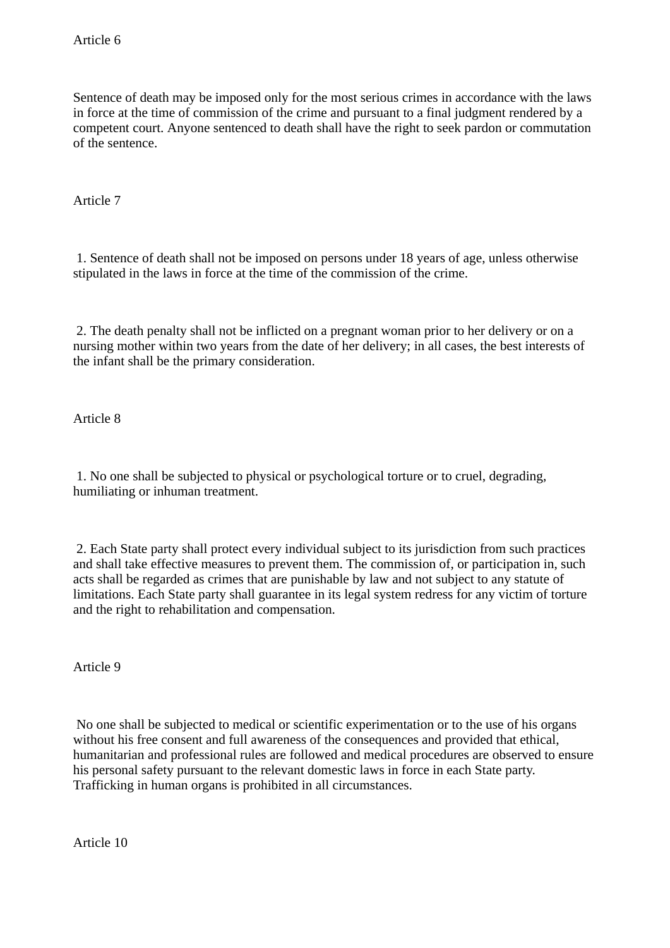Sentence of death may be imposed only for the most serious crimes in accordance with the laws in force at the time of commission of the crime and pursuant to a final judgment rendered by a competent court. Anyone sentenced to death shall have the right to seek pardon or commutation of the sentence.

Article 7

 1. Sentence of death shall not be imposed on persons under 18 years of age, unless otherwise stipulated in the laws in force at the time of the commission of the crime.

 2. The death penalty shall not be inflicted on a pregnant woman prior to her delivery or on a nursing mother within two years from the date of her delivery; in all cases, the best interests of the infant shall be the primary consideration.

Article 8

 1. No one shall be subjected to physical or psychological torture or to cruel, degrading, humiliating or inhuman treatment.

 2. Each State party shall protect every individual subject to its jurisdiction from such practices and shall take effective measures to prevent them. The commission of, or participation in, such acts shall be regarded as crimes that are punishable by law and not subject to any statute of limitations. Each State party shall guarantee in its legal system redress for any victim of torture and the right to rehabilitation and compensation.

Article 9

 No one shall be subjected to medical or scientific experimentation or to the use of his organs without his free consent and full awareness of the consequences and provided that ethical, humanitarian and professional rules are followed and medical procedures are observed to ensure his personal safety pursuant to the relevant domestic laws in force in each State party. Trafficking in human organs is prohibited in all circumstances.

Article 10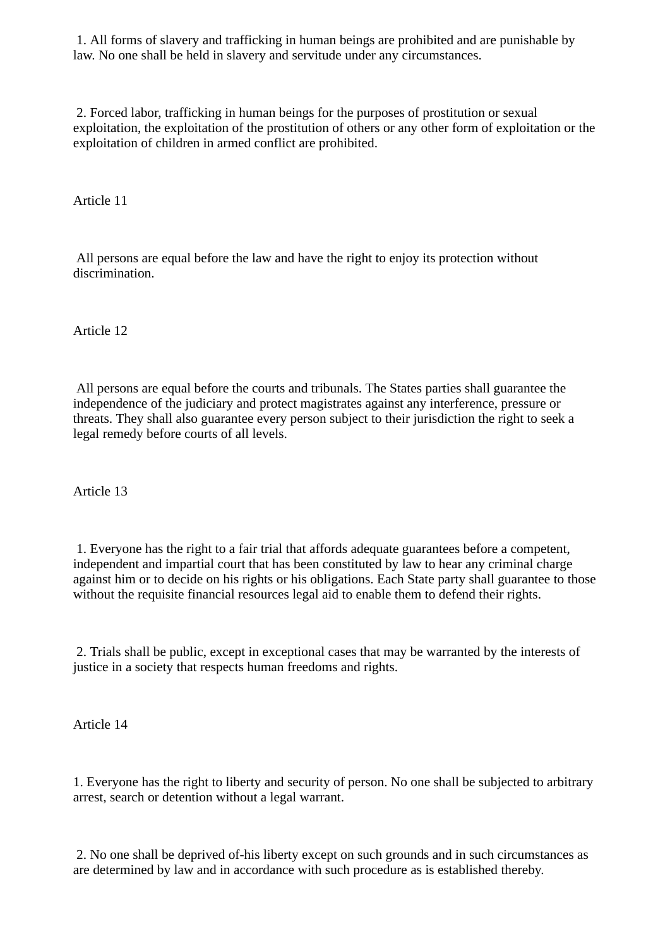1. All forms of slavery and trafficking in human beings are prohibited and are punishable by law. No one shall be held in slavery and servitude under any circumstances.

 2. Forced labor, trafficking in human beings for the purposes of prostitution or sexual exploitation, the exploitation of the prostitution of others or any other form of exploitation or the exploitation of children in armed conflict are prohibited.

Article 11

 All persons are equal before the law and have the right to enjoy its protection without discrimination.

Article 12

 All persons are equal before the courts and tribunals. The States parties shall guarantee the independence of the judiciary and protect magistrates against any interference, pressure or threats. They shall also guarantee every person subject to their jurisdiction the right to seek a legal remedy before courts of all levels.

Article 13

 1. Everyone has the right to a fair trial that affords adequate guarantees before a competent, independent and impartial court that has been constituted by law to hear any criminal charge against him or to decide on his rights or his obligations. Each State party shall guarantee to those without the requisite financial resources legal aid to enable them to defend their rights.

 2. Trials shall be public, except in exceptional cases that may be warranted by the interests of justice in a society that respects human freedoms and rights.

Article 14

1. Everyone has the right to liberty and security of person. No one shall be subjected to arbitrary arrest, search or detention without a legal warrant.

 2. No one shall be deprived of-his liberty except on such grounds and in such circumstances as are determined by law and in accordance with such procedure as is established thereby.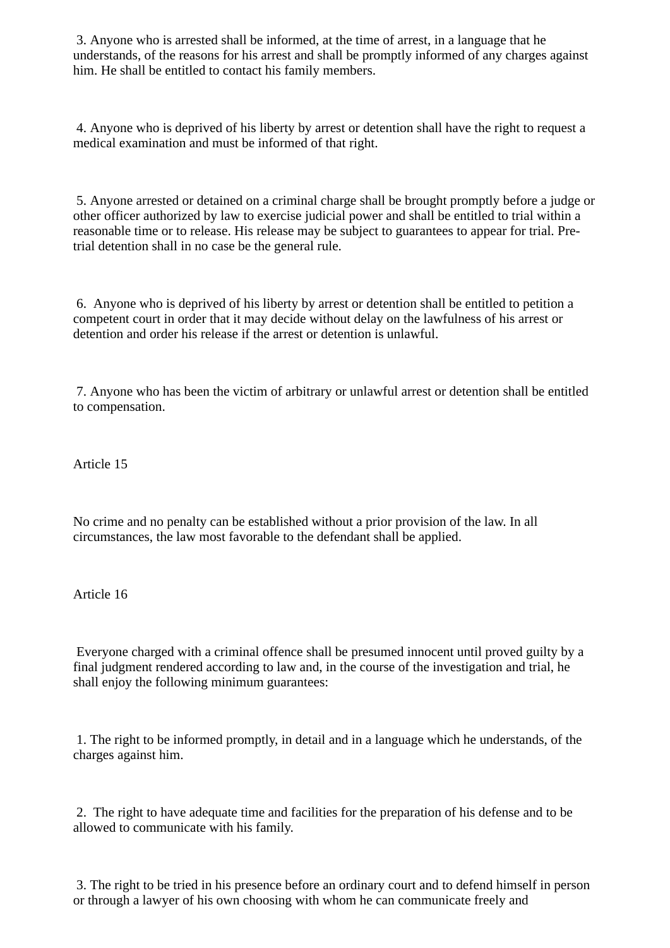3. Anyone who is arrested shall be informed, at the time of arrest, in a language that he understands, of the reasons for his arrest and shall be promptly informed of any charges against him. He shall be entitled to contact his family members.

 4. Anyone who is deprived of his liberty by arrest or detention shall have the right to request a medical examination and must be informed of that right.

 5. Anyone arrested or detained on a criminal charge shall be brought promptly before a judge or other officer authorized by law to exercise judicial power and shall be entitled to trial within a reasonable time or to release. His release may be subject to guarantees to appear for trial. Pretrial detention shall in no case be the general rule.

 6. Anyone who is deprived of his liberty by arrest or detention shall be entitled to petition a competent court in order that it may decide without delay on the lawfulness of his arrest or detention and order his release if the arrest or detention is unlawful.

 7. Anyone who has been the victim of arbitrary or unlawful arrest or detention shall be entitled to compensation.

Article 15

No crime and no penalty can be established without a prior provision of the law. In all circumstances, the law most favorable to the defendant shall be applied.

Article 16

 Everyone charged with a criminal offence shall be presumed innocent until proved guilty by a final judgment rendered according to law and, in the course of the investigation and trial, he shall enjoy the following minimum guarantees:

 1. The right to be informed promptly, in detail and in a language which he understands, of the charges against him.

 2. The right to have adequate time and facilities for the preparation of his defense and to be allowed to communicate with his family.

 3. The right to be tried in his presence before an ordinary court and to defend himself in person or through a lawyer of his own choosing with whom he can communicate freely and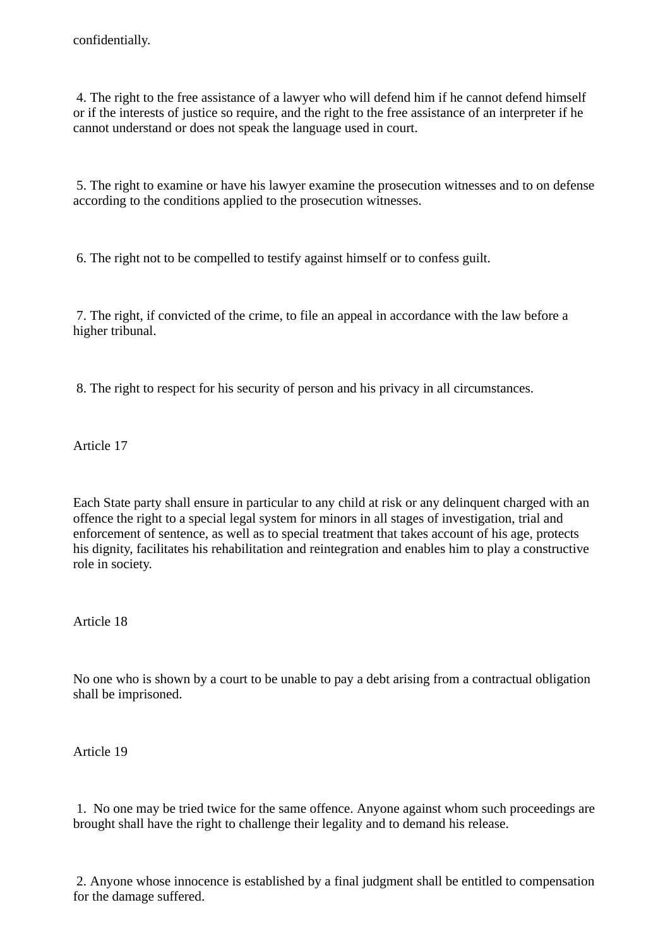4. The right to the free assistance of a lawyer who will defend him if he cannot defend himself or if the interests of justice so require, and the right to the free assistance of an interpreter if he cannot understand or does not speak the language used in court.

 5. The right to examine or have his lawyer examine the prosecution witnesses and to on defense according to the conditions applied to the prosecution witnesses.

6. The right not to be compelled to testify against himself or to confess guilt.

 7. The right, if convicted of the crime, to file an appeal in accordance with the law before a higher tribunal.

8. The right to respect for his security of person and his privacy in all circumstances.

Article 17

Each State party shall ensure in particular to any child at risk or any delinquent charged with an offence the right to a special legal system for minors in all stages of investigation, trial and enforcement of sentence, as well as to special treatment that takes account of his age, protects his dignity, facilitates his rehabilitation and reintegration and enables him to play a constructive role in society.

Article 18

No one who is shown by a court to be unable to pay a debt arising from a contractual obligation shall be imprisoned.

Article 19

 1. No one may be tried twice for the same offence. Anyone against whom such proceedings are brought shall have the right to challenge their legality and to demand his release.

 2. Anyone whose innocence is established by a final judgment shall be entitled to compensation for the damage suffered.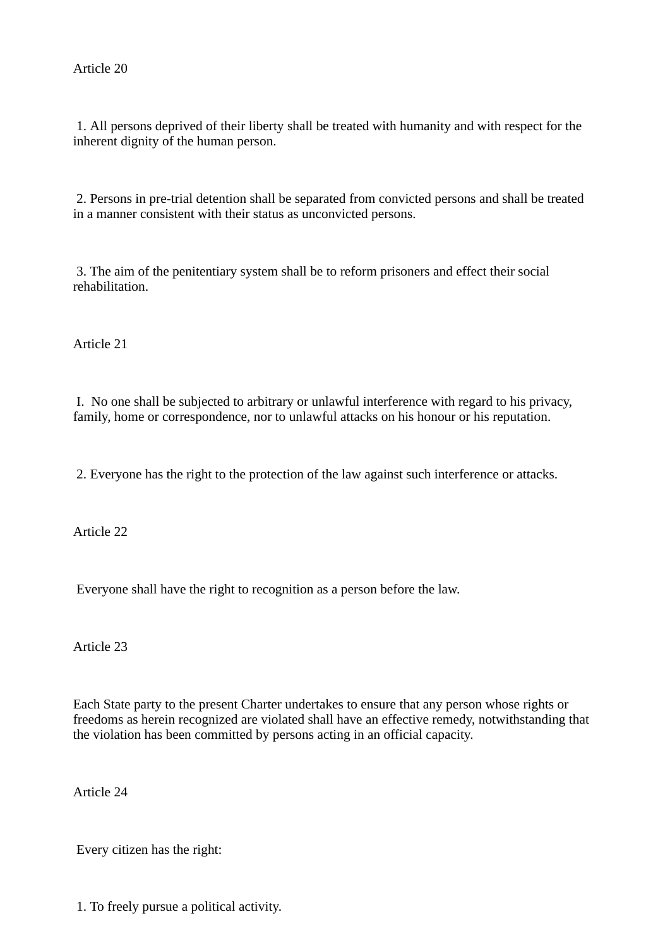1. All persons deprived of their liberty shall be treated with humanity and with respect for the inherent dignity of the human person.

 2. Persons in pre-trial detention shall be separated from convicted persons and shall be treated in a manner consistent with their status as unconvicted persons.

 3. The aim of the penitentiary system shall be to reform prisoners and effect their social rehabilitation.

Article 21

 I. No one shall be subjected to arbitrary or unlawful interference with regard to his privacy, family, home or correspondence, nor to unlawful attacks on his honour or his reputation.

2. Everyone has the right to the protection of the law against such interference or attacks.

Article 22

Everyone shall have the right to recognition as a person before the law.

Article 23

Each State party to the present Charter undertakes to ensure that any person whose rights or freedoms as herein recognized are violated shall have an effective remedy, notwithstanding that the violation has been committed by persons acting in an official capacity.

Article 24

Every citizen has the right:

1. To freely pursue a political activity.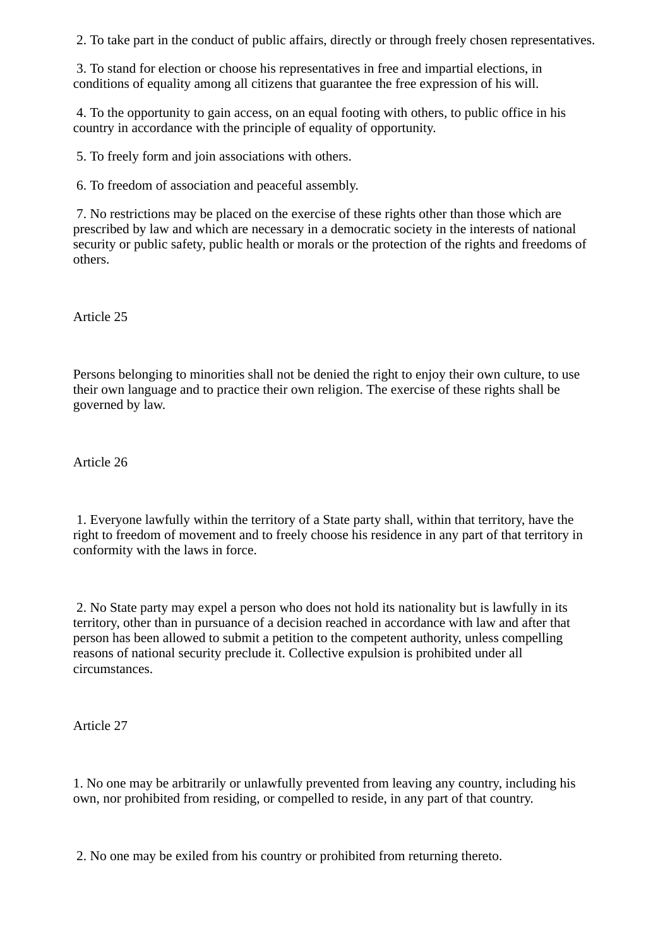2. To take part in the conduct of public affairs, directly or through freely chosen representatives.

 3. To stand for election or choose his representatives in free and impartial elections, in conditions of equality among all citizens that guarantee the free expression of his will.

 4. To the opportunity to gain access, on an equal footing with others, to public office in his country in accordance with the principle of equality of opportunity.

5. To freely form and join associations with others.

6. To freedom of association and peaceful assembly.

 7. No restrictions may be placed on the exercise of these rights other than those which are prescribed by law and which are necessary in a democratic society in the interests of national security or public safety, public health or morals or the protection of the rights and freedoms of others.

Article 25

Persons belonging to minorities shall not be denied the right to enjoy their own culture, to use their own language and to practice their own religion. The exercise of these rights shall be governed by law.

Article 26

 1. Everyone lawfully within the territory of a State party shall, within that territory, have the right to freedom of movement and to freely choose his residence in any part of that territory in conformity with the laws in force.

 2. No State party may expel a person who does not hold its nationality but is lawfully in its territory, other than in pursuance of a decision reached in accordance with law and after that person has been allowed to submit a petition to the competent authority, unless compelling reasons of national security preclude it. Collective expulsion is prohibited under all circumstances.

Article 27

1. No one may be arbitrarily or unlawfully prevented from leaving any country, including his own, nor prohibited from residing, or compelled to reside, in any part of that country.

2. No one may be exiled from his country or prohibited from returning thereto.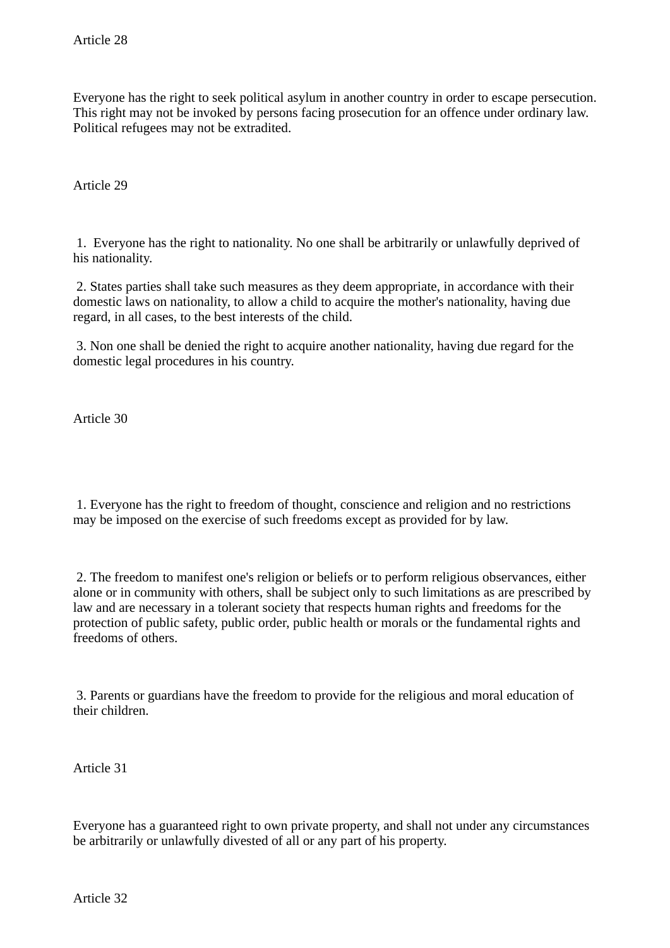Everyone has the right to seek political asylum in another country in order to escape persecution. This right may not be invoked by persons facing prosecution for an offence under ordinary law. Political refugees may not be extradited.

Article 29

 1. Everyone has the right to nationality. No one shall be arbitrarily or unlawfully deprived of his nationality.

 2. States parties shall take such measures as they deem appropriate, in accordance with their domestic laws on nationality, to allow a child to acquire the mother's nationality, having due regard, in all cases, to the best interests of the child.

 3. Non one shall be denied the right to acquire another nationality, having due regard for the domestic legal procedures in his country.

Article 30

 1. Everyone has the right to freedom of thought, conscience and religion and no restrictions may be imposed on the exercise of such freedoms except as provided for by law.

 2. The freedom to manifest one's religion or beliefs or to perform religious observances, either alone or in community with others, shall be subject only to such limitations as are prescribed by law and are necessary in a tolerant society that respects human rights and freedoms for the protection of public safety, public order, public health or morals or the fundamental rights and freedoms of others.

 3. Parents or guardians have the freedom to provide for the religious and moral education of their children.

Article 31

Everyone has a guaranteed right to own private property, and shall not under any circumstances be arbitrarily or unlawfully divested of all or any part of his property.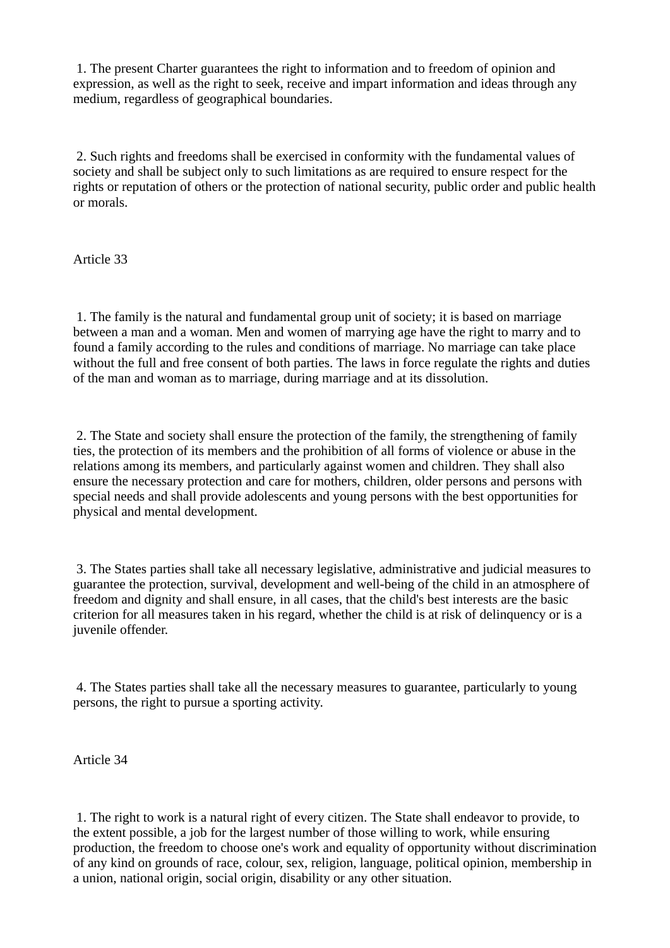1. The present Charter guarantees the right to information and to freedom of opinion and expression, as well as the right to seek, receive and impart information and ideas through any medium, regardless of geographical boundaries.

 2. Such rights and freedoms shall be exercised in conformity with the fundamental values of society and shall be subject only to such limitations as are required to ensure respect for the rights or reputation of others or the protection of national security, public order and public health or morals.

Article 33

 1. The family is the natural and fundamental group unit of society; it is based on marriage between a man and a woman. Men and women of marrying age have the right to marry and to found a family according to the rules and conditions of marriage. No marriage can take place without the full and free consent of both parties. The laws in force regulate the rights and duties of the man and woman as to marriage, during marriage and at its dissolution.

 2. The State and society shall ensure the protection of the family, the strengthening of family ties, the protection of its members and the prohibition of all forms of violence or abuse in the relations among its members, and particularly against women and children. They shall also ensure the necessary protection and care for mothers, children, older persons and persons with special needs and shall provide adolescents and young persons with the best opportunities for physical and mental development.

 3. The States parties shall take all necessary legislative, administrative and judicial measures to guarantee the protection, survival, development and well-being of the child in an atmosphere of freedom and dignity and shall ensure, in all cases, that the child's best interests are the basic criterion for all measures taken in his regard, whether the child is at risk of delinquency or is a juvenile offender.

 4. The States parties shall take all the necessary measures to guarantee, particularly to young persons, the right to pursue a sporting activity.

Article 34

 1. The right to work is a natural right of every citizen. The State shall endeavor to provide, to the extent possible, a job for the largest number of those willing to work, while ensuring production, the freedom to choose one's work and equality of opportunity without discrimination of any kind on grounds of race, colour, sex, religion, language, political opinion, membership in a union, national origin, social origin, disability or any other situation.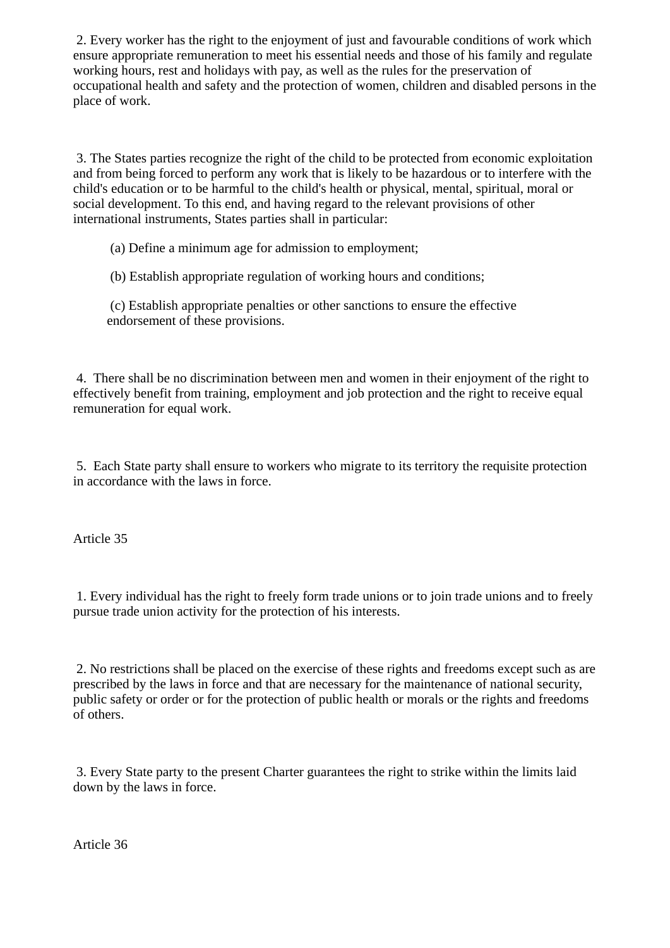2. Every worker has the right to the enjoyment of just and favourable conditions of work which ensure appropriate remuneration to meet his essential needs and those of his family and regulate working hours, rest and holidays with pay, as well as the rules for the preservation of occupational health and safety and the protection of women, children and disabled persons in the place of work.

 3. The States parties recognize the right of the child to be protected from economic exploitation and from being forced to perform any work that is likely to be hazardous or to interfere with the child's education or to be harmful to the child's health or physical, mental, spiritual, moral or social development. To this end, and having regard to the relevant provisions of other international instruments, States parties shall in particular:

(a) Define a minimum age for admission to employment;

(b) Establish appropriate regulation of working hours and conditions;

 (c) Establish appropriate penalties or other sanctions to ensure the effective endorsement of these provisions.

 4. There shall be no discrimination between men and women in their enjoyment of the right to effectively benefit from training, employment and job protection and the right to receive equal remuneration for equal work.

 5. Each State party shall ensure to workers who migrate to its territory the requisite protection in accordance with the laws in force.

Article 35

 1. Every individual has the right to freely form trade unions or to join trade unions and to freely pursue trade union activity for the protection of his interests.

 2. No restrictions shall be placed on the exercise of these rights and freedoms except such as are prescribed by the laws in force and that are necessary for the maintenance of national security, public safety or order or for the protection of public health or morals or the rights and freedoms of others.

 3. Every State party to the present Charter guarantees the right to strike within the limits laid down by the laws in force.

Article 36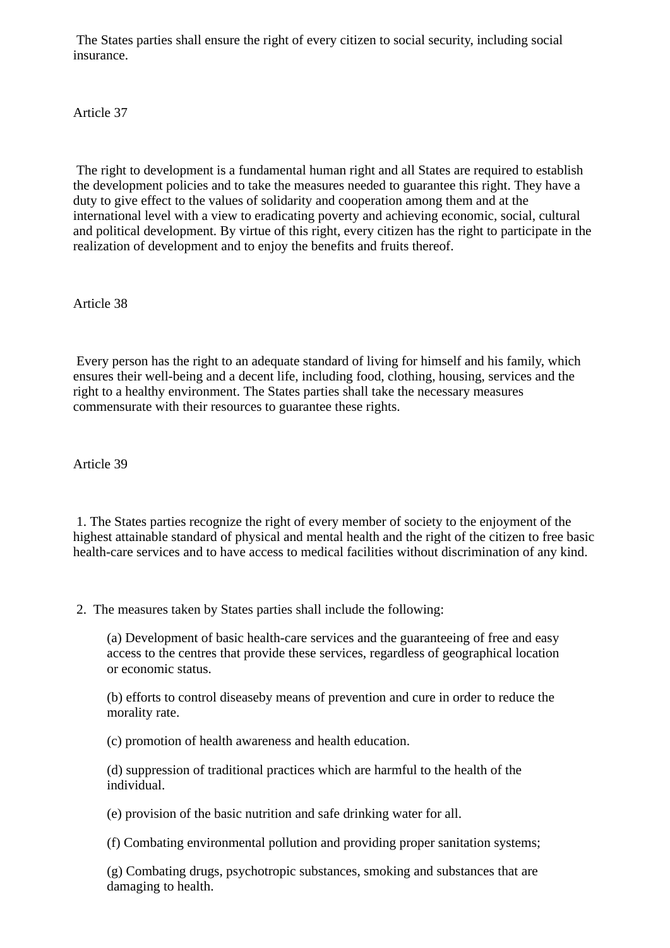The States parties shall ensure the right of every citizen to social security, including social insurance.

Article 37

 The right to development is a fundamental human right and all States are required to establish the development policies and to take the measures needed to guarantee this right. They have a duty to give effect to the values of solidarity and cooperation among them and at the international level with a view to eradicating poverty and achieving economic, social, cultural and political development. By virtue of this right, every citizen has the right to participate in the realization of development and to enjoy the benefits and fruits thereof.

Article 38

 Every person has the right to an adequate standard of living for himself and his family, which ensures their well-being and a decent life, including food, clothing, housing, services and the right to a healthy environment. The States parties shall take the necessary measures commensurate with their resources to guarantee these rights.

Article 39

 1. The States parties recognize the right of every member of society to the enjoyment of the highest attainable standard of physical and mental health and the right of the citizen to free basic health-care services and to have access to medical facilities without discrimination of any kind.

2. The measures taken by States parties shall include the following:

(a) Development of basic health-care services and the guaranteeing of free and easy access to the centres that provide these services, regardless of geographical location or economic status.

(b) efforts to control diseaseby means of prevention and cure in order to reduce the morality rate.

(c) promotion of health awareness and health education.

(d) suppression of traditional practices which are harmful to the health of the individual.

(e) provision of the basic nutrition and safe drinking water for all.

(f) Combating environmental pollution and providing proper sanitation systems;

(g) Combating drugs, psychotropic substances, smoking and substances that are damaging to health.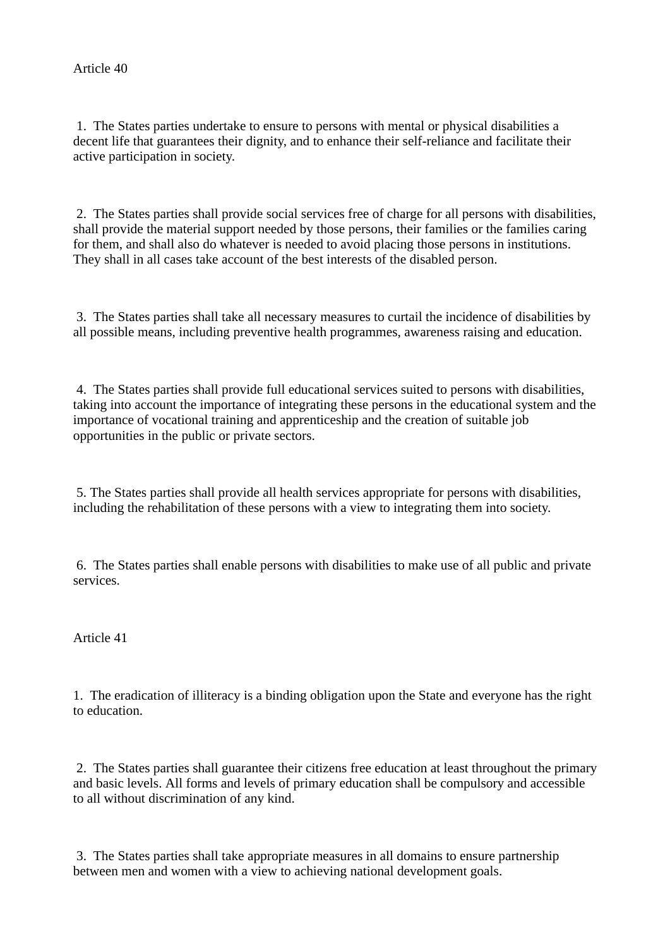1. The States parties undertake to ensure to persons with mental or physical disabilities a decent life that guarantees their dignity, and to enhance their self-reliance and facilitate their active participation in society.

 2. The States parties shall provide social services free of charge for all persons with disabilities, shall provide the material support needed by those persons, their families or the families caring for them, and shall also do whatever is needed to avoid placing those persons in institutions. They shall in all cases take account of the best interests of the disabled person.

 3. The States parties shall take all necessary measures to curtail the incidence of disabilities by all possible means, including preventive health programmes, awareness raising and education.

 4. The States parties shall provide full educational services suited to persons with disabilities, taking into account the importance of integrating these persons in the educational system and the importance of vocational training and apprenticeship and the creation of suitable job opportunities in the public or private sectors.

 5. The States parties shall provide all health services appropriate for persons with disabilities, including the rehabilitation of these persons with a view to integrating them into society.

 6. The States parties shall enable persons with disabilities to make use of all public and private services.

Article 41

1. The eradication of illiteracy is a binding obligation upon the State and everyone has the right to education.

 2. The States parties shall guarantee their citizens free education at least throughout the primary and basic levels. All forms and levels of primary education shall be compulsory and accessible to all without discrimination of any kind.

 3. The States parties shall take appropriate measures in all domains to ensure partnership between men and women with a view to achieving national development goals.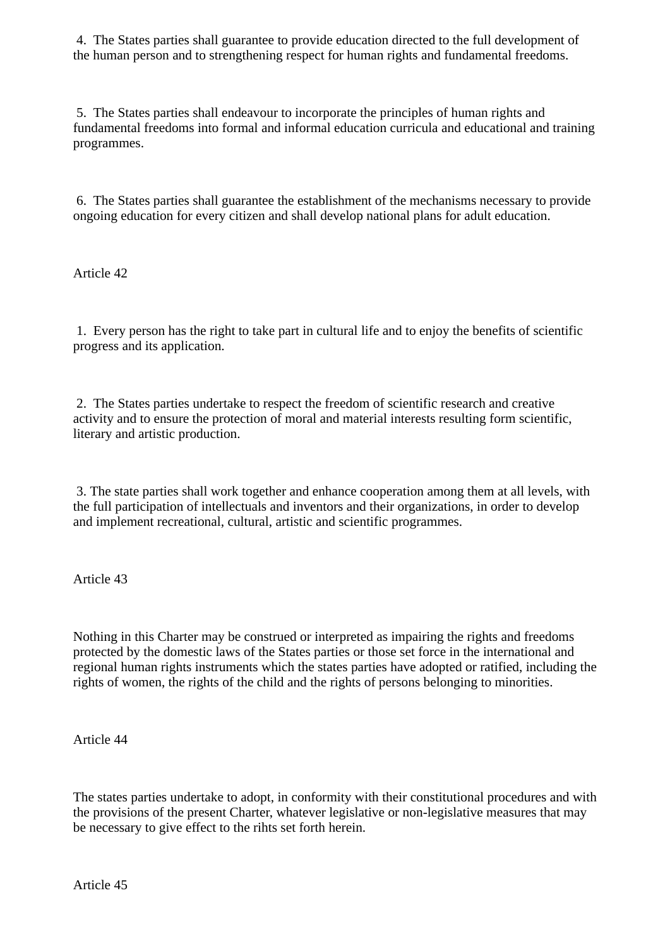4. The States parties shall guarantee to provide education directed to the full development of the human person and to strengthening respect for human rights and fundamental freedoms.

 5. The States parties shall endeavour to incorporate the principles of human rights and fundamental freedoms into formal and informal education curricula and educational and training programmes.

 6. The States parties shall guarantee the establishment of the mechanisms necessary to provide ongoing education for every citizen and shall develop national plans for adult education.

Article 42

 1. Every person has the right to take part in cultural life and to enjoy the benefits of scientific progress and its application.

 2. The States parties undertake to respect the freedom of scientific research and creative activity and to ensure the protection of moral and material interests resulting form scientific, literary and artistic production.

 3. The state parties shall work together and enhance cooperation among them at all levels, with the full participation of intellectuals and inventors and their organizations, in order to develop and implement recreational, cultural, artistic and scientific programmes.

Article 43

Nothing in this Charter may be construed or interpreted as impairing the rights and freedoms protected by the domestic laws of the States parties or those set force in the international and regional human rights instruments which the states parties have adopted or ratified, including the rights of women, the rights of the child and the rights of persons belonging to minorities.

Article 44

The states parties undertake to adopt, in conformity with their constitutional procedures and with the provisions of the present Charter, whatever legislative or non-legislative measures that may be necessary to give effect to the rihts set forth herein.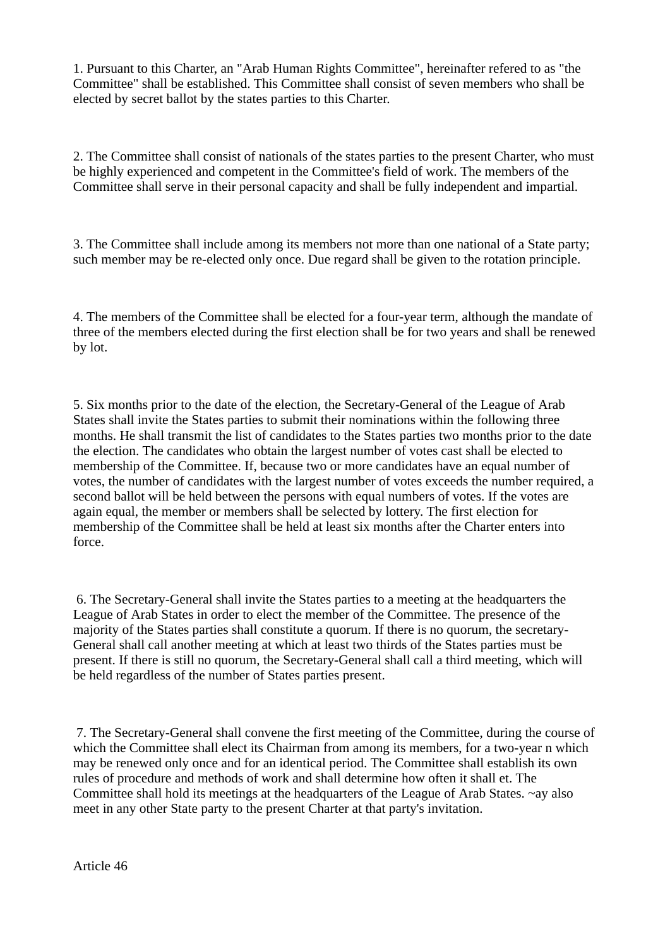1. Pursuant to this Charter, an "Arab Human Rights Committee", hereinafter refered to as "the Committee" shall be established. This Committee shall consist of seven members who shall be elected by secret ballot by the states parties to this Charter.

2. The Committee shall consist of nationals of the states parties to the present Charter, who must be highly experienced and competent in the Committee's field of work. The members of the Committee shall serve in their personal capacity and shall be fully independent and impartial.

3. The Committee shall include among its members not more than one national of a State party; such member may be re-elected only once. Due regard shall be given to the rotation principle.

4. The members of the Committee shall be elected for a four-year term, although the mandate of three of the members elected during the first election shall be for two years and shall be renewed by lot.

5. Six months prior to the date of the election, the Secretary-General of the League of Arab States shall invite the States parties to submit their nominations within the following three months. He shall transmit the list of candidates to the States parties two months prior to the date the election. The candidates who obtain the largest number of votes cast shall be elected to membership of the Committee. If, because two or more candidates have an equal number of votes, the number of candidates with the largest number of votes exceeds the number required, a second ballot will be held between the persons with equal numbers of votes. If the votes are again equal, the member or members shall be selected by lottery. The first election for membership of the Committee shall be held at least six months after the Charter enters into force.

 6. The Secretary-General shall invite the States parties to a meeting at the headquarters the League of Arab States in order to elect the member of the Committee. The presence of the majority of the States parties shall constitute a quorum. If there is no quorum, the secretary-General shall call another meeting at which at least two thirds of the States parties must be present. If there is still no quorum, the Secretary-General shall call a third meeting, which will be held regardless of the number of States parties present.

 7. The Secretary-General shall convene the first meeting of the Committee, during the course of which the Committee shall elect its Chairman from among its members, for a two-year n which may be renewed only once and for an identical period. The Committee shall establish its own rules of procedure and methods of work and shall determine how often it shall et. The Committee shall hold its meetings at the headquarters of the League of Arab States. ~ay also meet in any other State party to the present Charter at that party's invitation.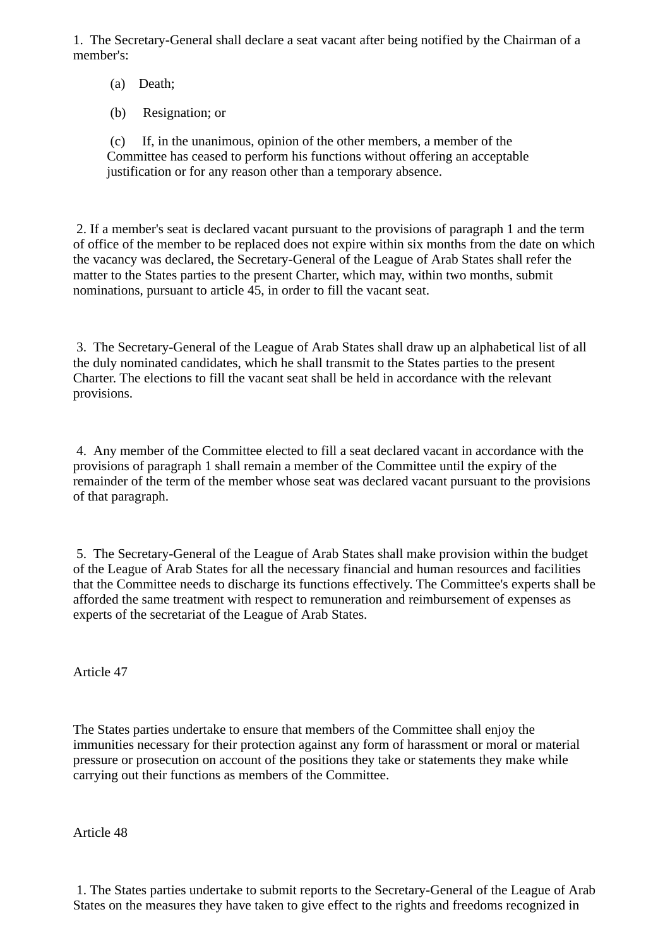1. The Secretary-General shall declare a seat vacant after being notified by the Chairman of a member's:

(a) Death;

(b) Resignation; or

 (c) If, in the unanimous, opinion of the other members, a member of the Committee has ceased to perform his functions without offering an acceptable justification or for any reason other than a temporary absence.

 2. If a member's seat is declared vacant pursuant to the provisions of paragraph 1 and the term of office of the member to be replaced does not expire within six months from the date on which the vacancy was declared, the Secretary-General of the League of Arab States shall refer the matter to the States parties to the present Charter, which may, within two months, submit nominations, pursuant to article 45, in order to fill the vacant seat.

 3. The Secretary-General of the League of Arab States shall draw up an alphabetical list of all the duly nominated candidates, which he shall transmit to the States parties to the present Charter. The elections to fill the vacant seat shall be held in accordance with the relevant provisions.

 4. Any member of the Committee elected to fill a seat declared vacant in accordance with the provisions of paragraph 1 shall remain a member of the Committee until the expiry of the remainder of the term of the member whose seat was declared vacant pursuant to the provisions of that paragraph.

 5. The Secretary-General of the League of Arab States shall make provision within the budget of the League of Arab States for all the necessary financial and human resources and facilities that the Committee needs to discharge its functions effectively. The Committee's experts shall be afforded the same treatment with respect to remuneration and reimbursement of expenses as experts of the secretariat of the League of Arab States.

Article 47

The States parties undertake to ensure that members of the Committee shall enjoy the immunities necessary for their protection against any form of harassment or moral or material pressure or prosecution on account of the positions they take or statements they make while carrying out their functions as members of the Committee.

Article 48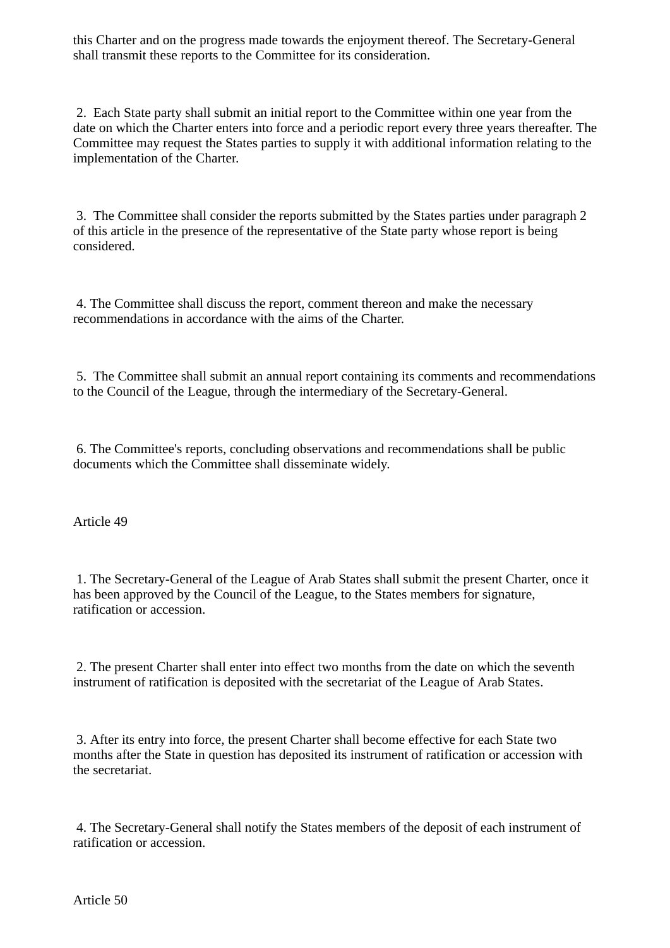this Charter and on the progress made towards the enjoyment thereof. The Secretary-General shall transmit these reports to the Committee for its consideration.

 2. Each State party shall submit an initial report to the Committee within one year from the date on which the Charter enters into force and a periodic report every three years thereafter. The Committee may request the States parties to supply it with additional information relating to the implementation of the Charter.

 3. The Committee shall consider the reports submitted by the States parties under paragraph 2 of this article in the presence of the representative of the State party whose report is being considered.

 4. The Committee shall discuss the report, comment thereon and make the necessary recommendations in accordance with the aims of the Charter.

 5. The Committee shall submit an annual report containing its comments and recommendations to the Council of the League, through the intermediary of the Secretary-General.

 6. The Committee's reports, concluding observations and recommendations shall be public documents which the Committee shall disseminate widely.

Article 49

 1. The Secretary-General of the League of Arab States shall submit the present Charter, once it has been approved by the Council of the League, to the States members for signature, ratification or accession.

 2. The present Charter shall enter into effect two months from the date on which the seventh instrument of ratification is deposited with the secretariat of the League of Arab States.

 3. After its entry into force, the present Charter shall become effective for each State two months after the State in question has deposited its instrument of ratification or accession with the secretariat.

 4. The Secretary-General shall notify the States members of the deposit of each instrument of ratification or accession.